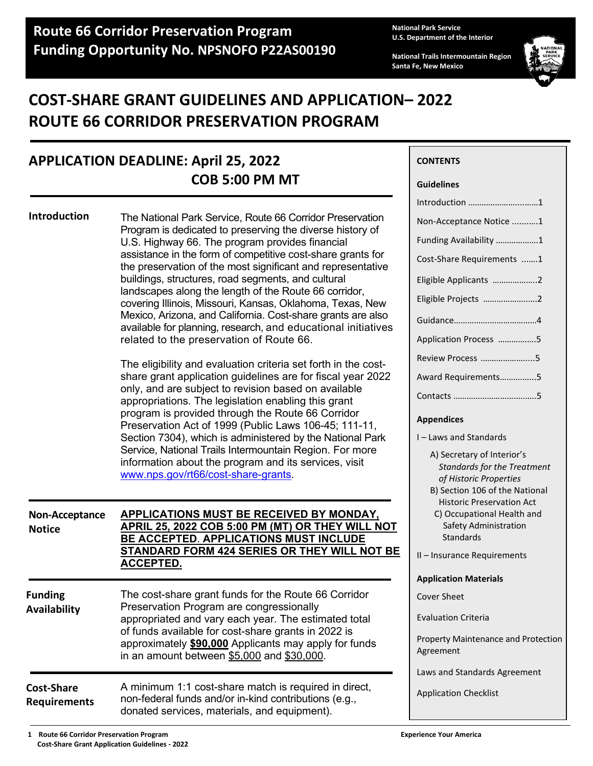**National Park Service U.S. Department of the Interior**

**CONTENTS**

**Guidelines**

**National Trails Intermountain Region Santa Fe, New Mexico**



# **COST-SHARE GRANT GUIDELINES AND APPLICATION– 2022 ROUTE 66 CORRIDOR PRESERVATION PROGRAM**

# **APPLICATION DEADLINE: April 25, 2022 COB 5:00 PM MT**

|                                          |                                                                                                                                                                                                                                                                                                                                                                                                                                                                                                                                                                                                                                                                                                                                   | Introduction 1                                                                                                                                                                                   |
|------------------------------------------|-----------------------------------------------------------------------------------------------------------------------------------------------------------------------------------------------------------------------------------------------------------------------------------------------------------------------------------------------------------------------------------------------------------------------------------------------------------------------------------------------------------------------------------------------------------------------------------------------------------------------------------------------------------------------------------------------------------------------------------|--------------------------------------------------------------------------------------------------------------------------------------------------------------------------------------------------|
| Introduction                             | The National Park Service, Route 66 Corridor Preservation<br>Program is dedicated to preserving the diverse history of<br>U.S. Highway 66. The program provides financial<br>assistance in the form of competitive cost-share grants for<br>the preservation of the most significant and representative<br>buildings, structures, road segments, and cultural<br>landscapes along the length of the Route 66 corridor,<br>covering Illinois, Missouri, Kansas, Oklahoma, Texas, New<br>Mexico, Arizona, and California. Cost-share grants are also<br>available for planning, research, and educational initiatives<br>related to the preservation of Route 66.<br>The eligibility and evaluation criteria set forth in the cost- | Non-Acceptance Notice 1<br>Funding Availability 1<br>Cost-Share Requirements 1<br>Eligible Applicants 2<br>Eligible Projects 2<br>Application Process 5<br>Review Process 5                      |
|                                          | share grant application guidelines are for fiscal year 2022<br>only, and are subject to revision based on available<br>appropriations. The legislation enabling this grant<br>program is provided through the Route 66 Corridor<br>Preservation Act of 1999 (Public Laws 106-45; 111-11,<br>Section 7304), which is administered by the National Park<br>Service, National Trails Intermountain Region. For more<br>information about the program and its services, visit<br>www.nps.gov/rt66/cost-share-grants.                                                                                                                                                                                                                  | Award Requirements5<br><b>Appendices</b><br>I-Laws and Standards<br>A) Secretary of Interior's<br><b>Standards for the Treatment</b><br>of Historic Properties<br>B) Section 106 of the National |
| Non-Acceptance<br><b>Notice</b>          | <b>APPLICATIONS MUST BE RECEIVED BY MONDAY,</b><br>APRIL 25, 2022 COB 5:00 PM (MT) OR THEY WILL NOT<br>BE ACCEPTED. APPLICATIONS MUST INCLUDE<br><b>STANDARD FORM 424 SERIES OR THEY WILL NOT BE</b><br><b>ACCEPTED.</b>                                                                                                                                                                                                                                                                                                                                                                                                                                                                                                          | <b>Historic Preservation Act</b><br>C) Occupational Health and<br>Safety Administration<br>Standards<br>II - Insurance Requirements                                                              |
| <b>Funding</b><br>Availability           | The cost-share grant funds for the Route 66 Corridor<br>Preservation Program are congressionally<br>appropriated and vary each year. The estimated total<br>of funds available for cost-share grants in 2022 is<br>approximately \$90,000 Applicants may apply for funds<br>in an amount between \$5,000 and \$30,000.                                                                                                                                                                                                                                                                                                                                                                                                            | <b>Application Materials</b><br><b>Cover Sheet</b><br><b>Evaluation Criteria</b><br>Property Maintenance and Protection<br>Agreement                                                             |
| <b>Cost-Share</b><br><b>Requirements</b> | A minimum 1:1 cost-share match is required in direct,<br>non-federal funds and/or in-kind contributions (e.g.,<br>donated services, materials, and equipment).                                                                                                                                                                                                                                                                                                                                                                                                                                                                                                                                                                    | Laws and Standards Agreement<br><b>Application Checklist</b>                                                                                                                                     |

 **1 Route 66 Corridor Preservation Program Experience Your America Cost-Share Grant Application Guidelines - 2022**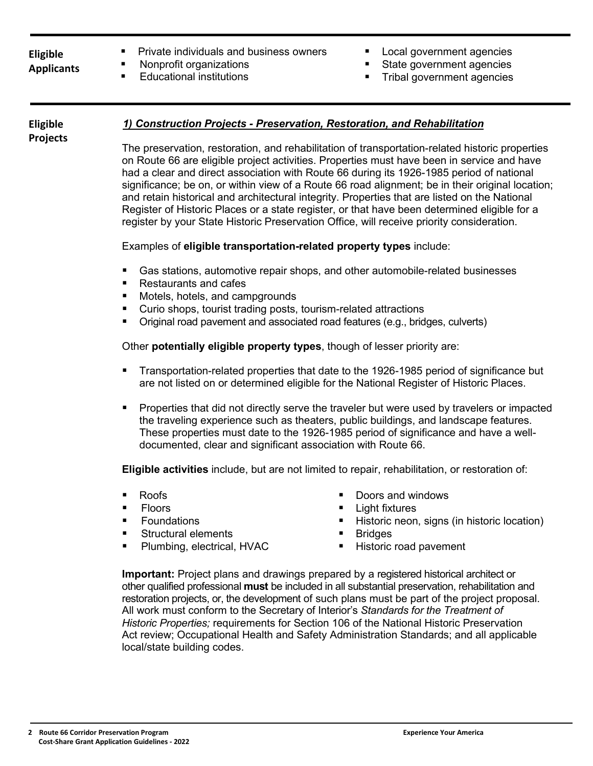# **Eligible**

**Projects**

- **Applicants**
- **Private individuals and business owners** 
	- Nonprofit organizations
	- Educational institutions
- Local government agencies
- State government agencies
- Tribal government agencies

#### *1) Construction Projects - Preservation, Restoration, and Rehabilitation*  **Eligible**

The preservation, restoration, and rehabilitation of transportation-related historic properties on Route 66 are eligible project activities. Properties must have been in service and have had a clear and direct association with Route 66 during its 1926-1985 period of national significance; be on, or within view of a Route 66 road alignment; be in their original location; and retain historical and architectural integrity. Properties that are listed on the National Register of Historic Places or a state register, or that have been determined eligible for a register by your State Historic Preservation Office, will receive priority consideration.

# Examples of **eligible transportation-related property types** include:

- Gas stations, automotive repair shops, and other automobile-related businesses
- Restaurants and cafes
- Motels, hotels, and campgrounds
- **Curio shops, tourist trading posts, tourism-related attractions**
- **•** Original road pavement and associated road features (e.g., bridges, culverts)

Other **potentially eligible property types**, though of lesser priority are:

- **Transportation-related properties that date to the 1926-1985 period of significance but** are not listed on or determined eligible for the National Register of Historic Places.
- **Properties that did not directly serve the traveler but were used by travelers or impacted** the traveling experience such as theaters, public buildings, and landscape features. These properties must date to the 1926-1985 period of significance and have a welldocumented, clear and significant association with Route 66.

**Eligible activities** include, but are not limited to repair, rehabilitation, or restoration of:

- Roofs
- **Floors**
- **Foundations**
- Structural elements
- **Plumbing, electrical, HVAC**
- Doors and windows
- **E** Light fixtures
- Historic neon, signs (in historic location)
- **Bridges**
- Historic road pavement

**Important:** Project plans and drawings prepared by a registered historical architect or other qualified professional **must** be included in all substantial preservation, rehabilitation and restoration projects, or, the development of such plans must be part of the project proposal. All work must conform to the Secretary of Interior's *Standards for the Treatment of Historic Properties;* requirements for Section 106 of the National Historic Preservation Act review; Occupational Health and Safety Administration Standards; and all applicable local/state building codes.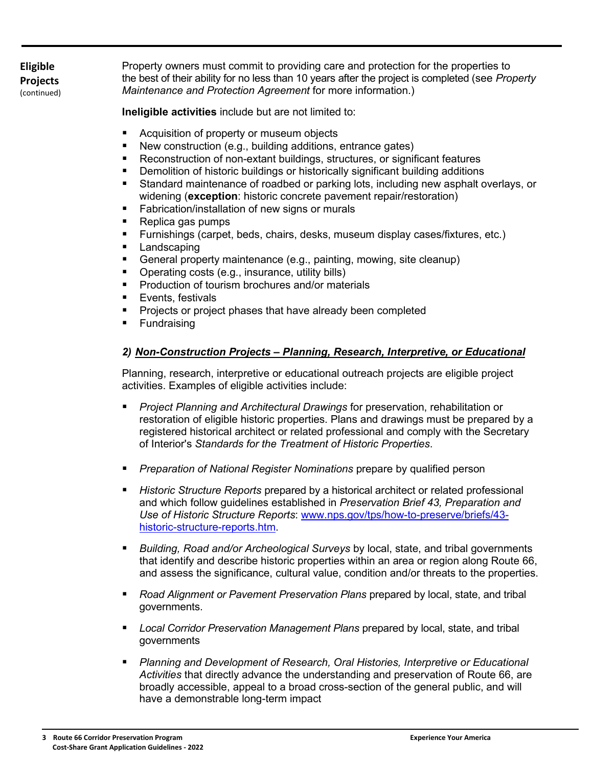**Eligible Projects** (continued) Property owners must commit to providing care and protection for the properties to the best of their ability for no less than 10 years after the project is completed (see *Property Maintenance and Protection Agreement* for more information.)

**Ineligible activities** include but are not limited to:

- **EXTERG** Acquisition of property or museum objects
- New construction (e.g., building additions, entrance gates)
- Reconstruction of non-extant buildings, structures, or significant features
- **•** Demolition of historic buildings or historically significant building additions
- Standard maintenance of roadbed or parking lots, including new asphalt overlays, or widening (**exception**: historic concrete pavement repair/restoration)
- **Fabrication/installation of new signs or murals**
- Replica gas pumps
- Furnishings (carpet, beds, chairs, desks, museum display cases/fixtures, etc.)
- **Landscaping**
- General property maintenance (e.g., painting, mowing, site cleanup)
- **Dearating costs (e.g., insurance, utility bills)**
- **Production of tourism brochures and/or materials**
- Events, festivals
- Projects or project phases that have already been completed
- **Fundraising**

# *2) Non-Construction Projects – Planning, Research, Interpretive, or Educational*

Planning, research, interpretive or educational outreach projects are eligible project activities. Examples of eligible activities include:

- *Project Planning and Architectural Drawings* for preservation, rehabilitation or restoration of eligible historic properties. Plans and drawings must be prepared by a registered historical architect or related professional and comply with the Secretary of Interior's *Standards for the Treatment of Historic Properties*.
- *Preparation of National Register Nominations* prepare by qualified person
- *Historic Structure Reports* prepared by a historical architect or related professional and which follow guidelines established in *Preservation Brief 43, Preparation and Use of Historic Structure Reports*: [www.nps.gov/tps/how-to-preserve/briefs/43](http://www.nps.gov/tps/how-to-preserve/briefs/43-historic-structure-reports.htm) [historic-structure-reports.htm.](http://www.nps.gov/tps/how-to-preserve/briefs/43-historic-structure-reports.htm)
- *Building, Road and/or Archeological Surveys* by local, state, and tribal governments that identify and describe historic properties within an area or region along Route 66, and assess the significance, cultural value, condition and/or threats to the properties.
- *Road Alignment or Pavement Preservation Plans* prepared by local, state, and tribal governments.
- *Local Corridor Preservation Management Plans* prepared by local, state, and tribal governments
- *Planning and Development of Research, Oral Histories, Interpretive or Educational Activities* that directly advance the understanding and preservation of Route 66, are broadly accessible, appeal to a broad cross-section of the general public, and will have a demonstrable long-term impact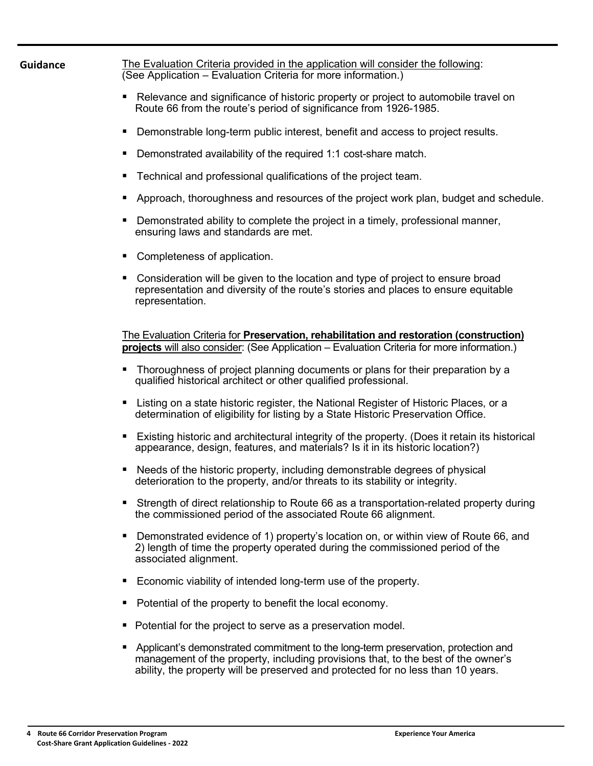| <b>Guidance</b> | The Evaluation Criteria provided in the application will consider the following:<br>(See Application – Evaluation Criteria for more information.)                                                                                                          |
|-----------------|------------------------------------------------------------------------------------------------------------------------------------------------------------------------------------------------------------------------------------------------------------|
|                 | Relevance and significance of historic property or project to automobile travel on<br>п<br>Route 66 from the route's period of significance from 1926-1985.                                                                                                |
|                 | Demonstrable long-term public interest, benefit and access to project results.<br>п                                                                                                                                                                        |
|                 | Demonstrated availability of the required 1:1 cost-share match.<br>п                                                                                                                                                                                       |
|                 | Technical and professional qualifications of the project team.<br>п                                                                                                                                                                                        |
|                 | Approach, thoroughness and resources of the project work plan, budget and schedule.<br>п                                                                                                                                                                   |
|                 | Demonstrated ability to complete the project in a timely, professional manner,<br>п<br>ensuring laws and standards are met.                                                                                                                                |
|                 | Completeness of application.<br>п                                                                                                                                                                                                                          |
|                 | Consideration will be given to the location and type of project to ensure broad<br>representation and diversity of the route's stories and places to ensure equitable<br>representation.                                                                   |
|                 | The Evaluation Criteria for Preservation, rehabilitation and restoration (construction)<br>projects will also consider: (See Application – Evaluation Criteria for more information.)                                                                      |
|                 | Thoroughness of project planning documents or plans for their preparation by a<br>ш<br>qualified historical architect or other qualified professional.                                                                                                     |
|                 | Listing on a state historic register, the National Register of Historic Places, or a<br>п<br>determination of eligibility for listing by a State Historic Preservation Office.                                                                             |
|                 | Existing historic and architectural integrity of the property. (Does it retain its historical<br>ш<br>appearance, design, features, and materials? Is it in its historic location?)                                                                        |
|                 | Needs of the historic property, including demonstrable degrees of physical<br>deterioration to the property, and/or threats to its stability or integrity.                                                                                                 |
|                 | Strength of direct relationship to Route 66 as a transportation-related property during<br>the commissioned period of the associated Route 66 alignment.                                                                                                   |
|                 | Demonstrated evidence of 1) property's location on, or within view of Route 66, and<br>2) length of time the property operated during the commissioned period of the<br>associated alignment.                                                              |
|                 | Economic viability of intended long-term use of the property.<br>п                                                                                                                                                                                         |
|                 | Potential of the property to benefit the local economy.<br>п                                                                                                                                                                                               |
|                 | Potential for the project to serve as a preservation model.<br>ш                                                                                                                                                                                           |
|                 | Applicant's demonstrated commitment to the long-term preservation, protection and<br>management of the property, including provisions that, to the best of the owner's<br>ability, the property will be preserved and protected for no less than 10 years. |
|                 |                                                                                                                                                                                                                                                            |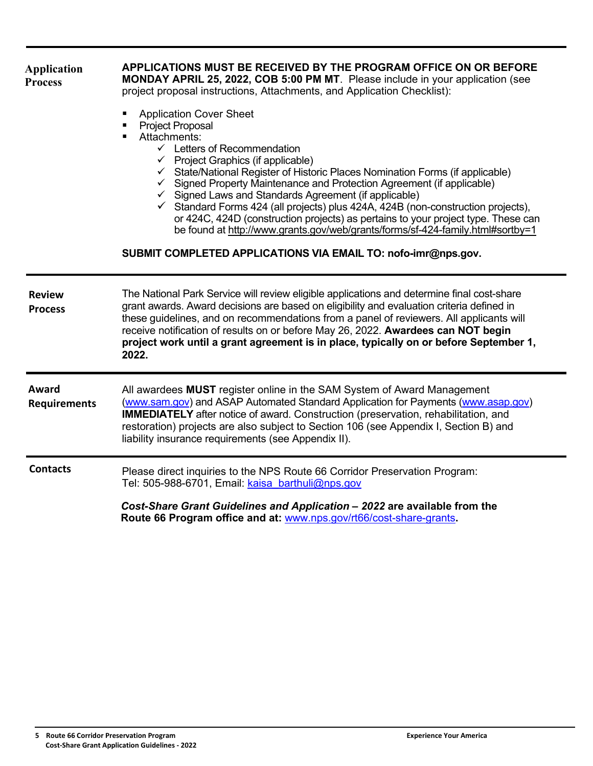| <b>Application</b><br><b>Process</b> | APPLICATIONS MUST BE RECEIVED BY THE PROGRAM OFFICE ON OR BEFORE<br><b>MONDAY APRIL 25, 2022, COB 5:00 PM MT.</b> Please include in your application (see<br>project proposal instructions, Attachments, and Application Checklist):                                                                                                                                                                                                                                                                                                                                                                                                                                                                                                                  |
|--------------------------------------|-------------------------------------------------------------------------------------------------------------------------------------------------------------------------------------------------------------------------------------------------------------------------------------------------------------------------------------------------------------------------------------------------------------------------------------------------------------------------------------------------------------------------------------------------------------------------------------------------------------------------------------------------------------------------------------------------------------------------------------------------------|
|                                      | <b>Application Cover Sheet</b><br><b>Project Proposal</b><br>Attachments:<br>$\checkmark$ Letters of Recommendation<br>$\checkmark$ Project Graphics (if applicable)<br>✓ State/National Register of Historic Places Nomination Forms (if applicable)<br>$\checkmark$ Signed Property Maintenance and Protection Agreement (if applicable)<br>$\checkmark$ Signed Laws and Standards Agreement (if applicable)<br>$\checkmark$ Standard Forms 424 (all projects) plus 424A, 424B (non-construction projects),<br>or 424C, 424D (construction projects) as pertains to your project type. These can<br>be found at http://www.grants.gov/web/grants/forms/sf-424-family.html#sortby=1<br>SUBMIT COMPLETED APPLICATIONS VIA EMAIL TO: nofo-imr@nps.gov. |
| <b>Review</b><br><b>Process</b>      | The National Park Service will review eligible applications and determine final cost-share<br>grant awards. Award decisions are based on eligibility and evaluation criteria defined in<br>these guidelines, and on recommendations from a panel of reviewers. All applicants will<br>receive notification of results on or before May 26, 2022. Awardees can NOT begin<br>project work until a grant agreement is in place, typically on or before September 1,<br>2022.                                                                                                                                                                                                                                                                             |
| Award<br><b>Requirements</b>         | All awardees MUST register online in the SAM System of Award Management<br>(www.sam.gov) and ASAP Automated Standard Application for Payments (www.asap.gov)<br><b>IMMEDIATELY</b> after notice of award. Construction (preservation, rehabilitation, and<br>restoration) projects are also subject to Section 106 (see Appendix I, Section B) and<br>liability insurance requirements (see Appendix II).                                                                                                                                                                                                                                                                                                                                             |
| <b>Contacts</b>                      | Please direct inquiries to the NPS Route 66 Corridor Preservation Program:<br>Tel: 505-988-6701, Email: kaisa barthuli@nps.gov                                                                                                                                                                                                                                                                                                                                                                                                                                                                                                                                                                                                                        |
|                                      | Cost-Share Grant Guidelines and Application - 2022 are available from the<br>Route 66 Program office and at: www.nps.gov/rt66/cost-share-grants.                                                                                                                                                                                                                                                                                                                                                                                                                                                                                                                                                                                                      |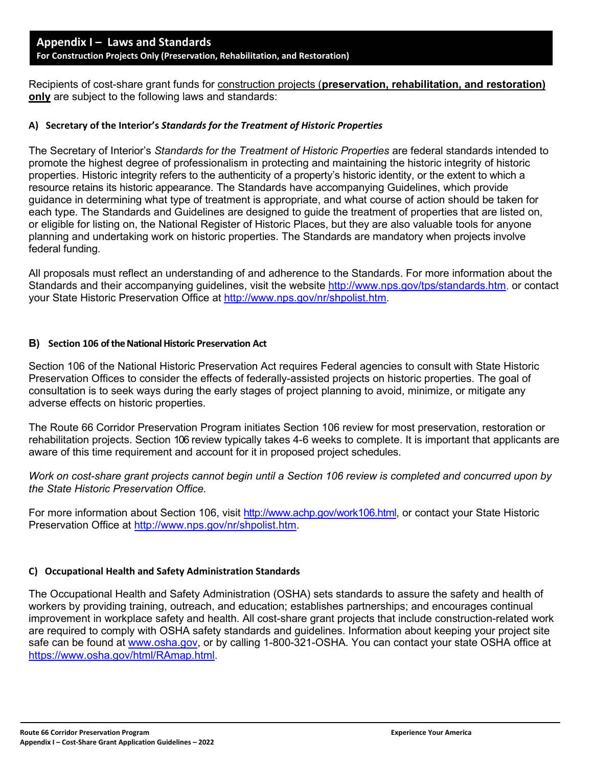Recipients of cost-share grant funds for construction projects (**preservation, rehabilitation, and restoration) only** are subject to the following laws and standards:

#### **A) Secretary of the Interior's** *Standards for the Treatment of Historic Properties*

The Secretary of Interior's *Standards for the Treatment of Historic Properties* are federal standards intended to promote the highest degree of professionalism in protecting and maintaining the historic integrity of historic properties. Historic integrity refers to the authenticity of a property's historic identity, or the extent to which a resource retains its historic appearance. The Standards have accompanying Guidelines, which provide guidance in determining what type of treatment is appropriate, and what course of action should be taken for each type. The Standards and Guidelines are designed to guide the treatment of properties that are listed on, or eligible for listing on, the National Register of Historic Places, but they are also valuable tools for anyone planning and undertaking work on historic properties. The Standards are mandatory when projects involve federal funding.

All proposals must reflect an understanding of and adherence to the Standards. For more information about the Standards and their accompanying guidelines, visit the website http://www.nps.gov/tps/standards.htm, or contact your State Historic Preservation Office at [http://www.nps.gov/nr/shpolist.htm.](http://www.nps.gov/nr/shpolist.htm)

#### **B) Section 106 of the National Historic Preservation Act**

Section 106 of the National Historic Preservation Act requires Federal agencies to consult with State Historic Preservation Offices to consider the effects of federally-assisted projects on historic properties. The goal of consultation is to seek ways during the early stages of project planning to avoid, minimize, or mitigate any adverse effects on historic properties.

The Route 66 Corridor Preservation Program initiates Section 106 review for most preservation, restoration or rehabilitation projects. Section 106 review typically takes 4-6 weeks to complete. It is important that applicants are aware of this time requirement and account for it in proposed project schedules.

*Work on cost-share grant projects cannot begin until a Section 106 review is completed and concurred upon by the State Historic Preservation Office.*

For more information about Section 106, visit http://www.achp.gov/work106.html, or contact your State Historic Preservation Office at [http://www.nps.gov/nr/shpolist.htm.](http://www.nps.gov/nr/shpolist.htm)

#### **C) Occupational Health and Safety Administration Standards**

The Occupational Health and Safety Administration (OSHA) sets standards to assure the safety and health of workers by providing training, outreach, and education; establishes partnerships; and encourages continual improvement in workplace safety and health. All cost-share grant projects that include construction-related work are required to comply with OSHA safety standards and guidelines. Information about keeping your project site safe can be found at [www.osha.gov,](http://www.osha.gov/) or by calling 1-800-321-OSHA. You can contact your state OSHA office at https://www.osha.gov/html/RAmap.html.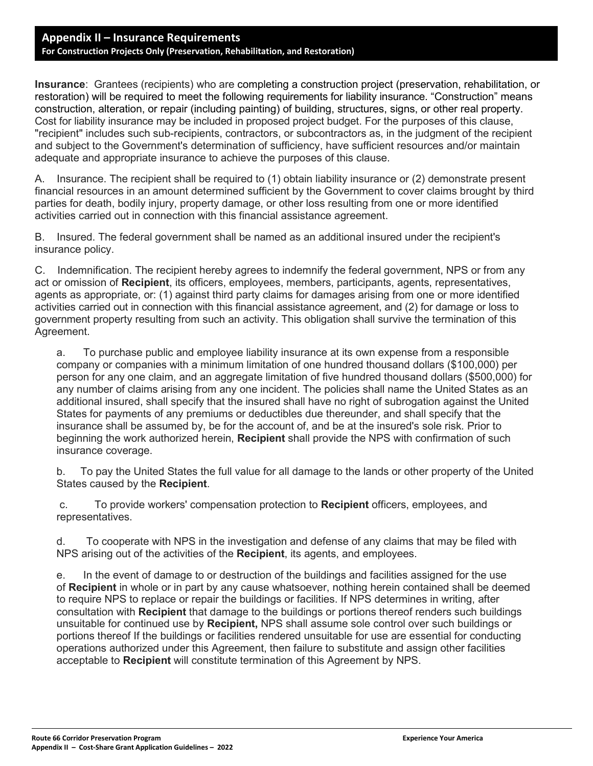## **Appendix II – Insurance Requirements For Construction Projects Only (Preservation, Rehabilitation, and Restoration)**

**Insurance**: Grantees (recipients) who are completing a construction project (preservation, rehabilitation, or restoration) will be required to meet the following requirements for liability insurance. "Construction" means construction, alteration, or repair (including painting) of building, structures, signs, or other real property. Cost for liability insurance may be included in proposed project budget. For the purposes of this clause, "recipient" includes such sub-recipients, contractors, or subcontractors as, in the judgment of the recipient and subject to the Government's determination of sufficiency, have sufficient resources and/or maintain adequate and appropriate insurance to achieve the purposes of this clause.

A. Insurance. The recipient shall be required to (1) obtain liability insurance or (2) demonstrate present financial resources in an amount determined sufficient by the Government to cover claims brought by third parties for death, bodily injury, property damage, or other loss resulting from one or more identified activities carried out in connection with this financial assistance agreement.

B. Insured. The federal government shall be named as an additional insured under the recipient's insurance policy.

C. Indemnification. The recipient hereby agrees to indemnify the federal government, NPS or from any act or omission of **Recipient**, its officers, employees, members, participants, agents, representatives, agents as appropriate, or: (1) against third party claims for damages arising from one or more identified activities carried out in connection with this financial assistance agreement, and (2) for damage or loss to government property resulting from such an activity. This obligation shall survive the termination of this Agreement.

a. To purchase public and employee liability insurance at its own expense from a responsible company or companies with a minimum limitation of one hundred thousand dollars (\$100,000) per person for any one claim, and an aggregate limitation of five hundred thousand dollars (\$500,000) for any number of claims arising from any one incident. The policies shall name the United States as an additional insured, shall specify that the insured shall have no right of subrogation against the United States for payments of any premiums or deductibles due thereunder, and shall specify that the insurance shall be assumed by, be for the account of, and be at the insured's sole risk. Prior to beginning the work authorized herein, **Recipient** shall provide the NPS with confirmation of such insurance coverage.

b. To pay the United States the full value for all damage to the lands or other property of the United States caused by the **Recipient**.

c. To provide workers' compensation protection to **Recipient** officers, employees, and representatives.

d. To cooperate with NPS in the investigation and defense of any claims that may be filed with NPS arising out of the activities of the **Recipient**, its agents, and employees.

e. In the event of damage to or destruction of the buildings and facilities assigned for the use of **Recipient** in whole or in part by any cause whatsoever, nothing herein contained shall be deemed to require NPS to replace or repair the buildings or facilities. If NPS determines in writing, after consultation with **Recipient** that damage to the buildings or portions thereof renders such buildings unsuitable for continued use by **Recipient,** NPS shall assume sole control over such buildings or portions thereof If the buildings or facilities rendered unsuitable for use are essential for conducting operations authorized under this Agreement, then failure to substitute and assign other facilities acceptable to **Recipient** will constitute termination of this Agreement by NPS.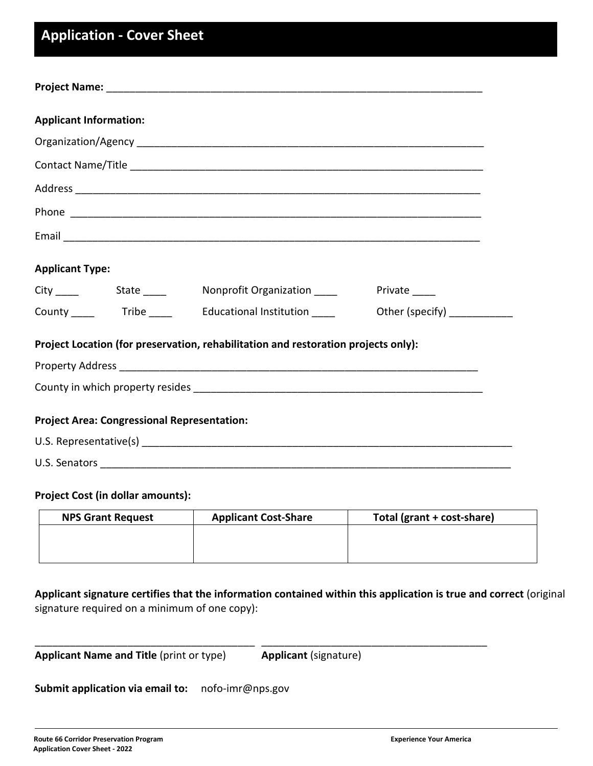# **Application - Cover Sheet**

| <b>Applicant Information:</b> |                                                    |                                                                                    |                                |
|-------------------------------|----------------------------------------------------|------------------------------------------------------------------------------------|--------------------------------|
|                               |                                                    |                                                                                    |                                |
|                               |                                                    |                                                                                    |                                |
|                               |                                                    |                                                                                    |                                |
|                               |                                                    |                                                                                    |                                |
|                               |                                                    |                                                                                    |                                |
| <b>Applicant Type:</b>        |                                                    |                                                                                    |                                |
|                               |                                                    | City ______ State _____ Nonprofit Organization _____ Private ____                  |                                |
|                               |                                                    |                                                                                    | Other (specify) ______________ |
|                               |                                                    | Project Location (for preservation, rehabilitation and restoration projects only): |                                |
|                               |                                                    |                                                                                    |                                |
|                               |                                                    |                                                                                    |                                |
|                               | <b>Project Area: Congressional Representation:</b> |                                                                                    |                                |
|                               |                                                    |                                                                                    |                                |
|                               |                                                    |                                                                                    |                                |

# **Project Cost (in dollar amounts):**

| <b>NPS Grant Request</b> | <b>Applicant Cost-Share</b> | Total (grant + cost-share) |
|--------------------------|-----------------------------|----------------------------|
|                          |                             |                            |
|                          |                             |                            |
|                          |                             |                            |

**Applicant signature certifies that the information contained within this application is true and correct** (original signature required on a minimum of one copy):

\_\_\_\_\_\_\_\_\_\_\_\_\_\_\_\_\_\_\_\_\_\_\_\_\_\_\_\_\_\_\_\_\_\_\_\_\_\_ \_\_\_\_\_\_\_\_\_\_\_\_\_\_\_\_\_\_\_\_\_\_\_\_\_\_\_\_\_\_\_\_\_\_\_\_\_\_\_

| <b>Applicant Name and Title (print or type)</b> | <b>Applicant (signature)</b> |
|-------------------------------------------------|------------------------------|
|-------------------------------------------------|------------------------------|

# **Submit application via email to:** nofo-imr@nps.gov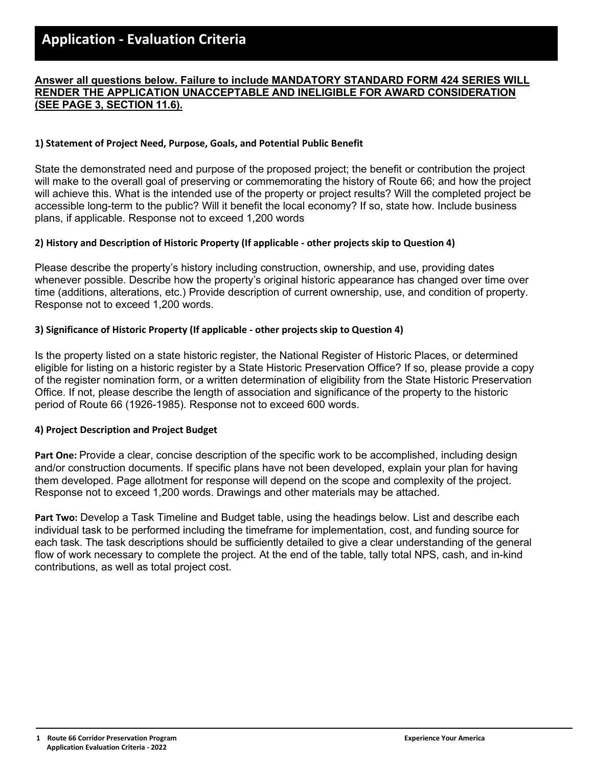# **Answer all questions below. Failure to include MANDATORY STANDARD FORM 424 SERIES WILL RENDER THE APPLICATION UNACCEPTABLE AND INELIGIBLE FOR AWARD CONSIDERATION (SEE PAGE 3, SECTION 11.6).**

**PART I - Please provide a description of the proposed project by addressing the topics below.** 

# **1) Statement of Project Need, Purpose, Goals, and Potential Public Benefit**

State the demonstrated need and purpose of the proposed project; the benefit or contribution the project will make to the overall goal of preserving or commemorating the history of Route 66; and how the project will achieve this. What is the intended use of the property or project results? Will the completed project be accessible long-term to the public? Will it benefit the local economy? If so, state how. Include business plans, if applicable. Response not to exceed 1,200 words

# **2) History and Description of Historic Property (If applicable - other projects skip to Question 4)**

Please describe the property's history including construction, ownership, and use, providing dates whenever possible. Describe how the property's original historic appearance has changed over time over time (additions, alterations, etc.) Provide description of current ownership, use, and condition of property. Response not to exceed 1,200 words.

# **3) Significance of Historic Property (If applicable - other projects skip to Question 4)**

Is the property listed on a state historic register, the National Register of Historic Places, or determined eligible for listing on a historic register by a State Historic Preservation Office? If so, please provide a copy of the register nomination form, or a written determination of eligibility from the State Historic Preservation Office. If not, please describe the length of association and significance of the property to the historic period of Route 66 (1926-1985). Response not to exceed 600 words.

# **4) Project Description and Project Budget**

**Part One:** Provide a clear, concise description of the specific work to be accomplished, including design and/or construction documents. If specific plans have not been developed, explain your plan for having them developed. Page allotment for response will depend on the scope and complexity of the project. Response not to exceed 1,200 words. Drawings and other materials may be attached.

**Part Two:** Develop a Task Timeline and Budget table, using the headings below. List and describe each individual task to be performed including the timeframe for implementation, cost, and funding source for each task. The task descriptions should be sufficiently detailed to give a clear understanding of the general flow of work necessary to complete the project. At the end of the table, tally total NPS, cash, and in-kind contributions, as well as total project cost.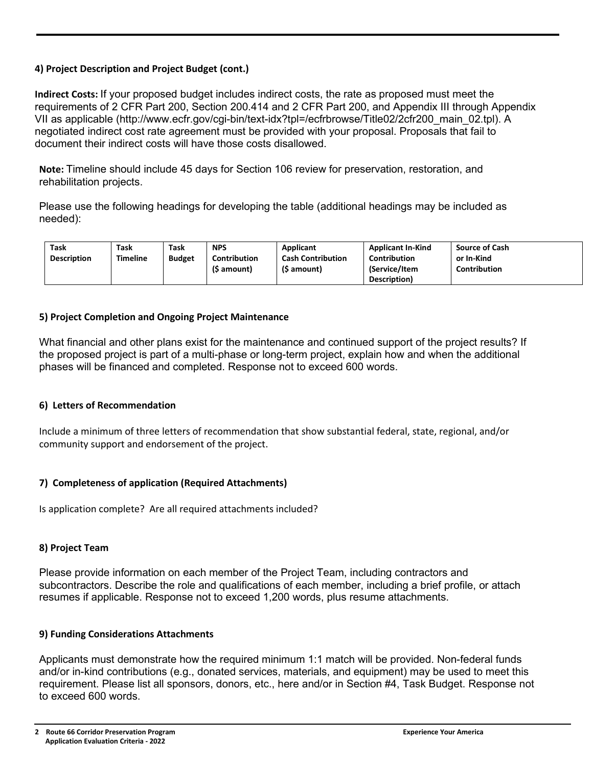# **4) Project Description and Project Budget (cont.)**

**Indirect Costs:** If your proposed budget includes indirect costs, the rate as proposed must meet the requirements of 2 CFR Part 200, Section 200.414 and 2 CFR Part 200, and Appendix III through Appendix VII as applicable (http://www.ecfr.gov/cgi-bin/text-idx?tpl=/ecfrbrowse/Title02/2cfr200\_main\_02.tpl). A negotiated indirect cost rate agreement must be provided with your proposal. Proposals that fail to document their indirect costs will have those costs disallowed.

**Note:** Timeline should include 45 days for Section 106 review for preservation, restoration, and rehabilitation projects.

Please use the following headings for developing the table (additional headings may be included as needed):

| Task               | Task     | Task          | <b>NPS</b>          | Applicant                | <b>Applicant In-Kind</b> | <b>Source of Cash</b> |
|--------------------|----------|---------------|---------------------|--------------------------|--------------------------|-----------------------|
| <b>Description</b> | Timeline | <b>Budget</b> | <b>Contribution</b> | <b>Cash Contribution</b> | <b>Contribution</b>      | or In-Kind            |
|                    |          |               | (\$ amount)         | (\$ amount)              | (Service/Item            | <b>Contribution</b>   |
|                    |          |               |                     |                          | Description)             |                       |

## **5) Project Completion and Ongoing Project Maintenance**

What financial and other plans exist for the maintenance and continued support of the project results? If the proposed project is part of a multi-phase or long-term project, explain how and when the additional phases will be financed and completed. Response not to exceed 600 words.

#### **6) Letters of Recommendation**

Include a minimum of three letters of recommendation that show substantial federal, state, regional, and/or community support and endorsement of the project.

#### **7) Completeness of application (Required Attachments)**

Is application complete? Are all required attachments included?

#### **8) Project Team**

Please provide information on each member of the Project Team, including contractors and subcontractors. Describe the role and qualifications of each member, including a brief profile, or attach resumes if applicable. Response not to exceed 1,200 words, plus resume attachments.

#### **9) Funding Considerations Attachments**

Applicants must demonstrate how the required minimum 1:1 match will be provided. Non-federal funds and/or in-kind contributions (e.g., donated services, materials, and equipment) may be used to meet this requirement. Please list all sponsors, donors, etc., here and/or in Section #4, Task Budget. Response not to exceed 600 words.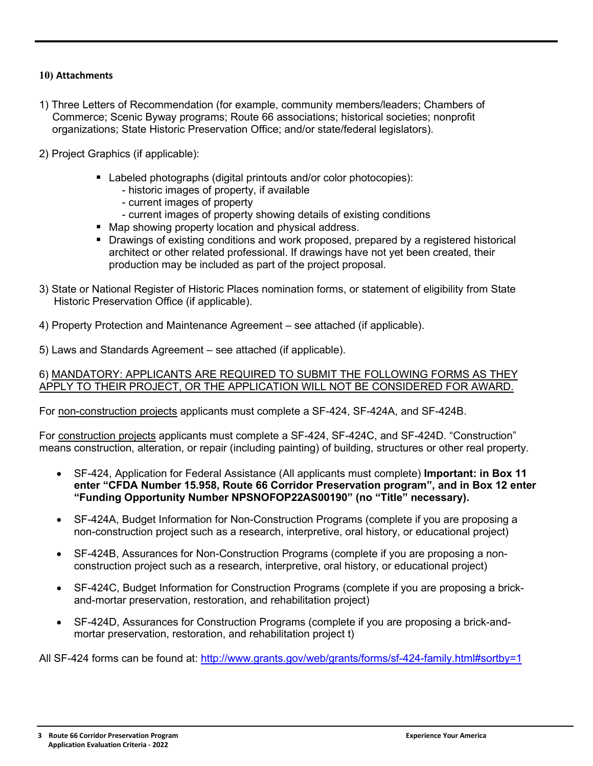# **10) Attachments**

- 1) Three Letters of Recommendation (for example, community members/leaders; Chambers of Commerce; Scenic Byway programs; Route 66 associations; historical societies; nonprofit organizations; State Historic Preservation Office; and/or state/federal legislators).
- 2) Project Graphics (if applicable):
	- Labeled photographs (digital printouts and/or color photocopies):
		- historic images of property, if available
		- current images of property
		- current images of property showing details of existing conditions
	- Map showing property location and physical address.
	- **Drawings of existing conditions and work proposed, prepared by a registered historical** architect or other related professional. If drawings have not yet been created, their production may be included as part of the project proposal.
- 3) State or National Register of Historic Places nomination forms, or statement of eligibility from State Historic Preservation Office (if applicable).
- 4) Property Protection and Maintenance Agreement see attached (if applicable).
- 5) Laws and Standards Agreement see attached (if applicable).

6) MANDATORY: APPLICANTS ARE REQUIRED TO SUBMIT THE FOLLOWING FORMS AS THEY APPLY TO THEIR PROJECT, OR THE APPLICATION WILL NOT BE CONSIDERED FOR AWARD.

For non-construction projects applicants must complete a SF-424, SF-424A, and SF-424B.

For construction projects applicants must complete a SF-424, SF-424C, and SF-424D. "Construction" means construction, alteration, or repair (including painting) of building, structures or other real property.

- SF-424, Application for Federal Assistance (All applicants must complete) **Important: in Box 11 enter "CFDA Number 15.958, Route 66 Corridor Preservation program", and in Box 12 enter "Funding Opportunity Number NPSNOFOP22AS00190" (no "Title" necessary).**
- SF-424A, Budget Information for Non-Construction Programs (complete if you are proposing a non-construction project such as a research, interpretive, oral history, or educational project)
- SF-424B, Assurances for Non-Construction Programs (complete if you are proposing a nonconstruction project such as a research, interpretive, oral history, or educational project)
- SF-424C, Budget Information for Construction Programs (complete if you are proposing a brickand-mortar preservation, restoration, and rehabilitation project)
- SF-424D, Assurances for Construction Programs (complete if you are proposing a brick-andmortar preservation, restoration, and rehabilitation project t)

All SF-424 forms can be found at: http://www.grants.gov/web/grants/forms/sf-424-family.html#sortby=1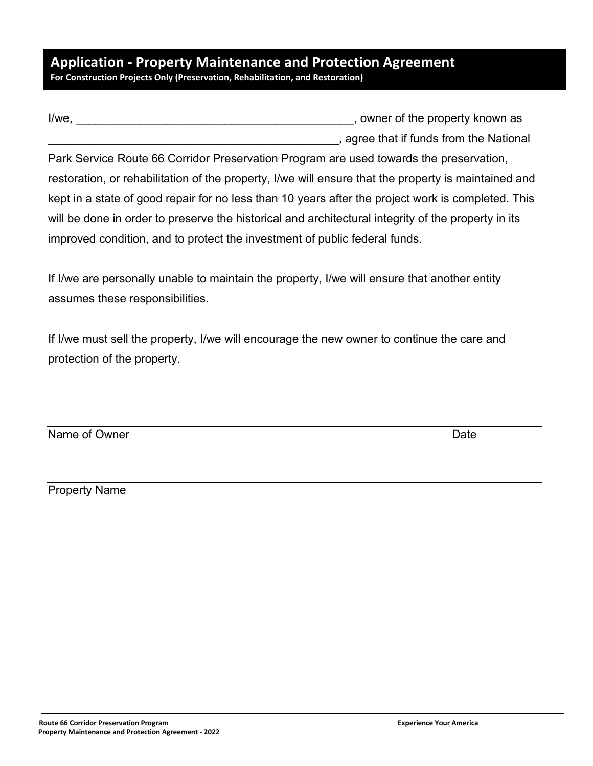# **Application - Property Maintenance and Protection Agreement For Construction Projects Only (Preservation, Rehabilitation, and Restoration)**

| I/we. | , owner of the property known as      |
|-------|---------------------------------------|
|       | agree that if funds from the National |

Park Service Route 66 Corridor Preservation Program are used towards the preservation, restoration, or rehabilitation of the property, I/we will ensure that the property is maintained and kept in a state of good repair for no less than 10 years after the project work is completed. This will be done in order to preserve the historical and architectural integrity of the property in its improved condition, and to protect the investment of public federal funds.

If I/we are personally unable to maintain the property, I/we will ensure that another entity assumes these responsibilities.

If I/we must sell the property, I/we will encourage the new owner to continue the care and protection of the property.

Name of Owner Date

Property Name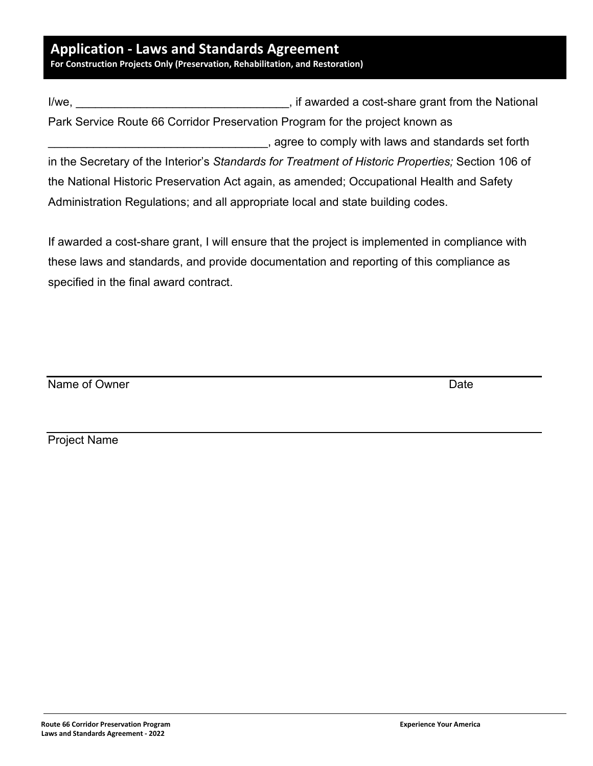# **Application - Laws and Standards Agreement**

**For Construction Projects Only (Preservation, Rehabilitation, and Restoration)**

| l/we, | , if awarded a cost-share grant from the National                                                 |
|-------|---------------------------------------------------------------------------------------------------|
|       | Park Service Route 66 Corridor Preservation Program for the project known as                      |
|       | agree to comply with laws and standards set forth                                                 |
|       | in the Secretary of the Interior's Standards for Treatment of Historic Properties; Section 106 of |
|       | the National Historic Preservation Act again, as amended; Occupational Health and Safety          |
|       | Administration Regulations; and all appropriate local and state building codes.                   |

If awarded a cost-share grant, I will ensure that the project is implemented in compliance with these laws and standards, and provide documentation and reporting of this compliance as specified in the final award contract.

Name of Owner Date Date Communications are not been presented by the Date Date

Project Name